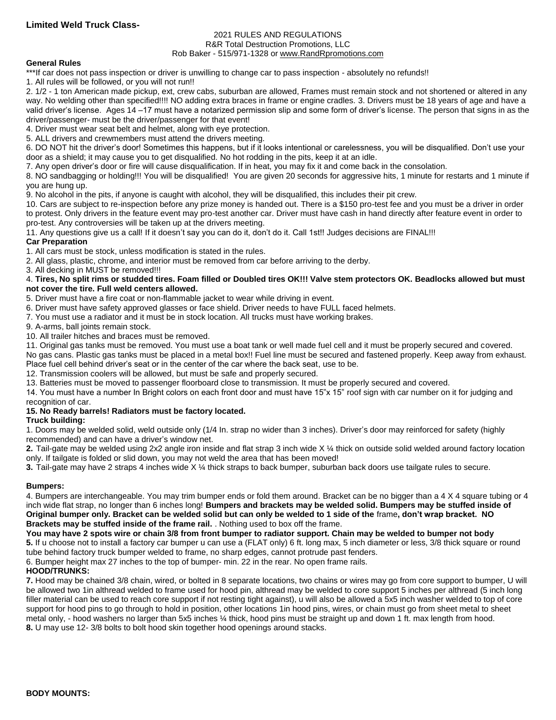#### 2021 RULES AND REGULATIONS R&R Total Destruction Promotions, LLC

## Rob Baker - 515/971-1328 or [www.RandRpromotions.com](../../../2008%20Contracts/www.RandRpromotions.com)

## **General Rules**

\*\*\*If car does not pass inspection or driver is unwilling to change car to pass inspection - absolutely no refunds!!

1. All rules will be followed, or you will not run!!

2. 1/2 - 1 ton American made pickup, ext, crew cabs, suburban are allowed, Frames must remain stock and not shortened or altered in any way. No welding other than specified!!!! NO adding extra braces in frame or engine cradles. 3. Drivers must be 18 years of age and have a valid driver's license. Ages 14 –17 must have a notarized permission slip and some form of driver's license. The person that signs in as the driver/passenger- must be the driver/passenger for that event!

4. Driver must wear seat belt and helmet, along with eye protection.

5. ALL drivers and crewmembers must attend the drivers meeting.

6. DO NOT hit the driver's door! Sometimes this happens, but if it looks intentional or carelessness, you will be disqualified. Don't use your door as a shield; it may cause you to get disqualified. No hot rodding in the pits, keep it at an idle.

7. Any open driver's door or fire will cause disqualification. If in heat, you may fix it and come back in the consolation.

8. NO sandbagging or holding!!! You will be disqualified! You are given 20 seconds for aggressive hits, 1 minute for restarts and 1 minute if you are hung up.

9. No alcohol in the pits, if anyone is caught with alcohol, they will be disqualified, this includes their pit crew.

10. Cars are subject to re-inspection before any prize money is handed out. There is a \$150 pro-test fee and you must be a driver in order to protest. Only drivers in the feature event may pro-test another car. Driver must have cash in hand directly after feature event in order to pro-test. Any controversies will be taken up at the drivers meeting.

11. Any questions give us a call! If it doesn't say you can do it, don't do it. Call 1st!! Judges decisions are FINAL!!!

## **Car Preparation**

1. All cars must be stock, unless modification is stated in the rules.

2. All glass, plastic, chrome, and interior must be removed from car before arriving to the derby.

3. All decking in MUST be removed!!!

#### 4. **Tires, No split rims or studded tires. Foam filled or Doubled tires OK!!! Valve stem protectors OK. Beadlocks allowed but must not cover the tire. Full weld centers allowed.**

5. Driver must have a fire coat or non-flammable jacket to wear while driving in event.

6. Driver must have safety approved glasses or face shield. Driver needs to have FULL faced helmets.

7. You must use a radiator and it must be in stock location. All trucks must have working brakes.

9. A-arms, ball joints remain stock.

10. All trailer hitches and braces must be removed.

11. Original gas tanks must be removed. You must use a boat tank or well made fuel cell and it must be properly secured and covered.

No gas cans. Plastic gas tanks must be placed in a metal box!! Fuel line must be secured and fastened properly. Keep away from exhaust. Place fuel cell behind driver's seat or in the center of the car where the back seat, use to be.

12. Transmission coolers will be allowed, but must be safe and properly secured.

13. Batteries must be moved to passenger floorboard close to transmission. It must be properly secured and covered.

14. You must have a number In Bright colors on each front door and must have 15"x 15" roof sign with car number on it for judging and recognition of car.

# **15. No Ready barrels! Radiators must be factory located.**

#### **Truck building:**

1. Doors may be welded solid, weld outside only (1/4 In. strap no wider than 3 inches). Driver's door may reinforced for safety (highly recommended) and can have a driver's window net.

**2.** Tail-gate may be welded using 2x2 angle iron inside and flat strap 3 inch wide X ¼ thick on outside solid welded around factory location only. If tailgate is folded or slid down, you may not weld the area that has been moved!

**3.** Tail-gate may have 2 straps 4 inches wide X ¼ thick straps to back bumper, suburban back doors use tailgate rules to secure.

# **Bumpers:**

4. Bumpers are interchangeable. You may trim bumper ends or fold them around. Bracket can be no bigger than a 4 X 4 square tubing or 4 inch wide flat strap, no longer than 6 inches long! **Bumpers and brackets may be welded solid. Bumpers may be stuffed inside of Original bumper only. Bracket can be welded solid but can only be welded to 1 side of the** frame**, don't wrap bracket. NO Brackets may be stuffed inside of the frame rail.** . Nothing used to box off the frame.

**You may have 2 spots wire or chain 3/8 from front bumper to radiator support. Chain may be welded to bumper not body 5.** If u choose not to install a factory car bumper u can use a (FLAT only) 6 ft. long max, 5 inch diameter or less, 3/8 thick square or round tube behind factory truck bumper welded to frame, no sharp edges, cannot protrude past fenders.

6. Bumper height max 27 inches to the top of bumper- min. 22 in the rear. No open frame rails.

# **HOOD/TRUNKS:**

**7.** Hood may be chained 3/8 chain, wired, or bolted in 8 separate locations, two chains or wires may go from core support to bumper, U will be allowed two 1in althread welded to frame used for hood pin, althread may be welded to core support 5 inches per althread (5 inch long filler material can be used to reach core support if not resting tight against), u will also be allowed a 5x5 inch washer welded to top of core support for hood pins to go through to hold in position, other locations 1in hood pins, wires, or chain must go from sheet metal to sheet metal only, - hood washers no larger than 5x5 inches ¼ thick, hood pins must be straight up and down 1 ft. max length from hood. **8.** U may use 12- 3/8 bolts to bolt hood skin together hood openings around stacks.